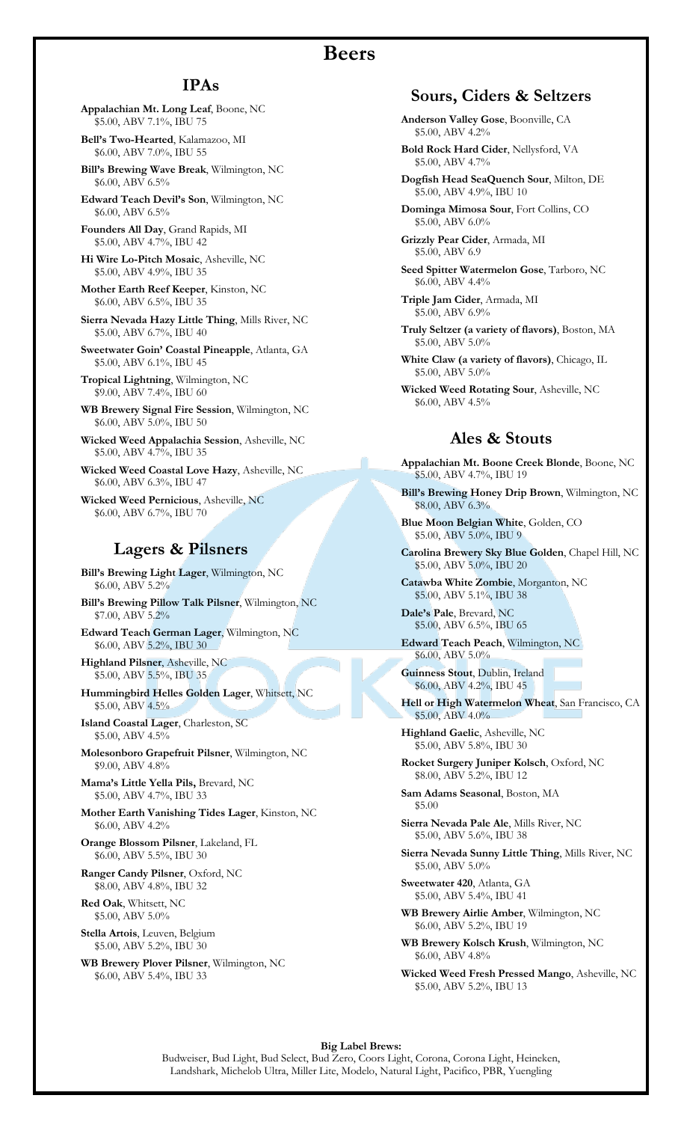## **Beers**

## **IPAs**

**Appalachian Mt. Long Leaf**, Boone, NC \$5.00, ABV 7.1%, IBU 75

**Bell's Two-Hearted**, Kalamazoo, MI \$6.00, ABV 7.0%, IBU 55

**Bill's Brewing Wave Break**, Wilmington, NC \$6.00, ABV 6.5%

**Edward Teach Devil's Son**, Wilmington, NC \$6.00, ABV 6.5%

**Founders All Day**, Grand Rapids, MI \$5.00, ABV 4.7%, IBU 42

**Hi Wire Lo-Pitch Mosaic**, Asheville, NC \$5.00, ABV 4.9%, IBU 35

**Mother Earth Reef Keeper**, Kinston, NC \$6.00, ABV 6.5%, IBU 35

**Sierra Nevada Hazy Little Thing**, Mills River, NC \$5.00, ABV 6.7%, IBU 40

**Sweetwater Goin' Coastal Pineapple**, Atlanta, GA \$5.00, ABV 6.1%, IBU 45

**Tropical Lightning**, Wilmington, NC \$9.00, ABV 7.4%, IBU 60

**WB Brewery Signal Fire Session**, Wilmington, NC \$6.00, ABV 5.0%, IBU 50

**Wicked Weed Appalachia Session**, Asheville, NC \$5.00, ABV 4.7%, IBU 35

**Wicked Weed Coastal Love Hazy**, Asheville, NC \$6.00, ABV 6.3%, IBU 47

**Wicked Weed Pernicious**, Asheville, NC \$6.00, ABV 6.7%, IBU 70

## **Lagers & Pilsners**

**Bill's Brewing Light Lager**, Wilmington, NC \$6.00, ABV 5.2%

**Bill's Brewing Pillow Talk Pilsner**, Wilmington, NC \$7.00, ABV 5.2%

**Edward Teach German Lager**, Wilmington, NC \$6.00, ABV 5.2%, IBU 30

**Highland Pilsner**, Asheville, NC \$5.00, ABV 5.5%, IBU 35

**Hummingbird Helles Golden Lager**, Whitsett, NC \$5.00, ABV 4.5%

**Island Coastal Lager**, Charleston, SC \$5.00, ABV 4.5%

**Molesonboro Grapefruit Pilsner**, Wilmington, NC \$9.00, ABV 4.8%

**Mama's Little Yella Pils,** Brevard, NC \$5.00, ABV 4.7%, IBU 33

**Mother Earth Vanishing Tides Lager**, Kinston, NC \$6.00, ABV 4.2%

**Orange Blossom Pilsner**, Lakeland, FL \$6.00, ABV 5.5%, IBU 30

**Ranger Candy Pilsner**, Oxford, NC \$8.00, ABV 4.8%, IBU 32

**Red Oak**, Whitsett, NC \$5.00, ABV 5.0%

**Stella Artois**, Leuven, Belgium \$5.00, ABV 5.2%, IBU 30

**WB Brewery Plover Pilsner**, Wilmington, NC \$6.00, ABV 5.4%, IBU 33

## **Sours, Ciders & Seltzers**

**Anderson Valley Gose**, Boonville, CA \$5.00, ABV 4.2%

**Bold Rock Hard Cider**, Nellysford, VA \$5.00, ABV 4.7%

**Dogfish Head SeaQuench Sour**, Milton, DE \$5.00, ABV 4.9%, IBU 10

**Dominga Mimosa Sour**, Fort Collins, CO \$5.00, ABV 6.0%

**Grizzly Pear Cider**, Armada, MI \$5.00, ABV 6.9

**Seed Spitter Watermelon Gose**, Tarboro, NC \$6.00, ABV 4.4%

**Triple Jam Cider**, Armada, MI \$5.00, ABV 6.9%

**Truly Seltzer (a variety of flavors)**, Boston, MA \$5.00, ABV 5.0%

**White Claw (a variety of flavors)**, Chicago, IL \$5.00, ABV 5.0%

**Wicked Weed Rotating Sour**, Asheville, NC \$6.00, ABV 4.5%

## **Ales & Stouts**

**Appalachian Mt. Boone Creek Blonde**, Boone, NC \$5.00, ABV 4.7%, IBU 19

**Bill's Brewing Honey Drip Brown**, Wilmington, NC \$8.00, ABV 6.3%

**Blue Moon Belgian White**, Golden, CO \$5.00, ABV 5.0%, IBU 9

**Carolina Brewery Sky Blue Golden**, Chapel Hill, NC \$5.00, ABV 5.0%, IBU 20

**Catawba White Zombie**, Morganton, NC \$5.00, ABV 5.1%, IBU 38

**Dale's Pale**, Brevard, NC \$5.00, ABV 6.5%, IBU 65

**Edward Teach Peach**, Wilmington, NC  $$6.00, ABV 5.0\%$ 

**Guinness Stout**, Dublin, Ireland \$6.00, ABV 4.2%, IBU 45

**Hell or High Watermelon Wheat**, San Francisco, CA \$5.00, ABV 4.0%

**Highland Gaelic**, Asheville, NC \$5.00, ABV 5.8%, IBU 30

**Rocket Surgery Juniper Kolsch**, Oxford, NC \$8.00, ABV 5.2%, IBU 12

**Sam Adams Seasonal**, Boston, MA \$5.00

**Sierra Nevada Pale Ale**, Mills River, NC \$5.00, ABV 5.6%, IBU 38

**Sierra Nevada Sunny Little Thing**, Mills River, NC \$5.00, ABV 5.0%

**Sweetwater 420**, Atlanta, GA \$5.00, ABV 5.4%, IBU 41

**WB Brewery Airlie Amber**, Wilmington, NC \$6.00, ABV 5.2%, IBU 19

**WB Brewery Kolsch Krush**, Wilmington, NC \$6.00, ABV 4.8%

**Wicked Weed Fresh Pressed Mango**, Asheville, NC \$5.00, ABV 5.2%, IBU 13

**Big Label Brews:** Budweiser, Bud Light, Bud Select, Bud Zero, Coors Light, Corona, Corona Light, Heineken, Landshark, Michelob Ultra, Miller Lite, Modelo, Natural Light, Pacifico, PBR, Yuengling